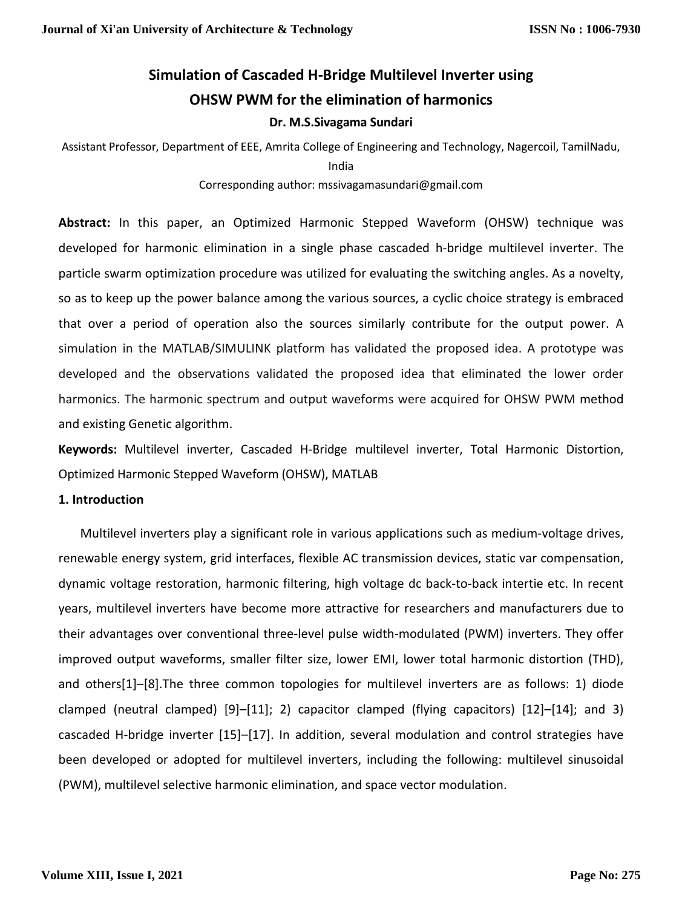## **Simulation of Cascaded H-Bridge Multilevel Inverter using OHSW PWM for the elimination of harmonics Dr. M.S.Sivagama Sundari**

Assistant Professor, Department of EEE, Amrita College of Engineering and Technology, Nagercoil, TamilNadu, India

#### Corresponding author: mssivagamasundari@gmail.com

**Abstract:** In this paper, an Optimized Harmonic Stepped Waveform (OHSW) technique was developed for harmonic elimination in a single phase cascaded h-bridge multilevel inverter. The particle swarm optimization procedure was utilized for evaluating the switching angles. As a novelty, so as to keep up the power balance among the various sources, a cyclic choice strategy is embraced that over a period of operation also the sources similarly contribute for the output power. A simulation in the MATLAB/SIMULINK platform has validated the proposed idea. A prototype was developed and the observations validated the proposed idea that eliminated the lower order harmonics. The harmonic spectrum and output waveforms were acquired for OHSW PWM method and existing Genetic algorithm.

**Keywords:** Multilevel inverter, Cascaded H-Bridge multilevel inverter, Total Harmonic Distortion, Optimized Harmonic Stepped Waveform (OHSW), MATLAB

#### **1. Introduction**

 Multilevel inverters play a significant role in various applications such as medium-voltage drives, renewable energy system, grid interfaces, flexible AC transmission devices, static var compensation, dynamic voltage restoration, harmonic filtering, high voltage dc back-to-back intertie etc. In recent years, multilevel inverters have become more attractive for researchers and manufacturers due to their advantages over conventional three-level pulse width-modulated (PWM) inverters. They offer improved output waveforms, smaller filter size, lower EMI, lower total harmonic distortion (THD), and others[1]–[8].The three common topologies for multilevel inverters are as follows: 1) diode clamped (neutral clamped) [9]–[11]; 2) capacitor clamped (flying capacitors) [12]–[14]; and 3) cascaded H-bridge inverter [15]–[17]. In addition, several modulation and control strategies have been developed or adopted for multilevel inverters, including the following: multilevel sinusoidal (PWM), multilevel selective harmonic elimination, and space vector modulation.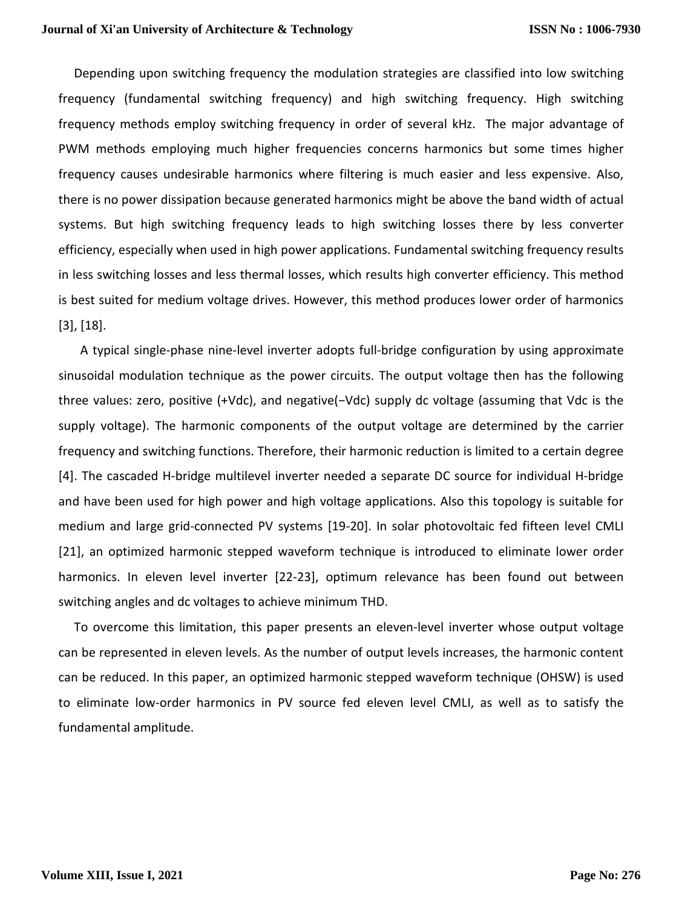Depending upon switching frequency the modulation strategies are classified into low switching frequency (fundamental switching frequency) and high switching frequency. High switching frequency methods employ switching frequency in order of several kHz. The major advantage of PWM methods employing much higher frequencies concerns harmonics but some times higher frequency causes undesirable harmonics where filtering is much easier and less expensive. Also, there is no power dissipation because generated harmonics might be above the band width of actual systems. But high switching frequency leads to high switching losses there by less converter efficiency, especially when used in high power applications. Fundamental switching frequency results in less switching losses and less thermal losses, which results high converter efficiency. This method is best suited for medium voltage drives. However, this method produces lower order of harmonics [3], [18].

 A typical single-phase nine-level inverter adopts full-bridge configuration by using approximate sinusoidal modulation technique as the power circuits. The output voltage then has the following three values: zero, positive (+Vdc), and negative(*−*Vdc) supply dc voltage (assuming that Vdc is the supply voltage). The harmonic components of the output voltage are determined by the carrier frequency and switching functions. Therefore, their harmonic reduction is limited to a certain degree [4]. The cascaded H-bridge multilevel inverter needed a separate DC source for individual H-bridge and have been used for high power and high voltage applications. Also this topology is suitable for medium and large grid-connected PV systems [19-20]. In solar photovoltaic fed fifteen level CMLI [21], an optimized harmonic stepped waveform technique is introduced to eliminate lower order harmonics. In eleven level inverter [22-23], optimum relevance has been found out between switching angles and dc voltages to achieve minimum THD.

 To overcome this limitation, this paper presents an eleven-level inverter whose output voltage can be represented in eleven levels. As the number of output levels increases, the harmonic content can be reduced. In this paper, an optimized harmonic stepped waveform technique (OHSW) is used to eliminate low-order harmonics in PV source fed eleven level CMLI, as well as to satisfy the fundamental amplitude.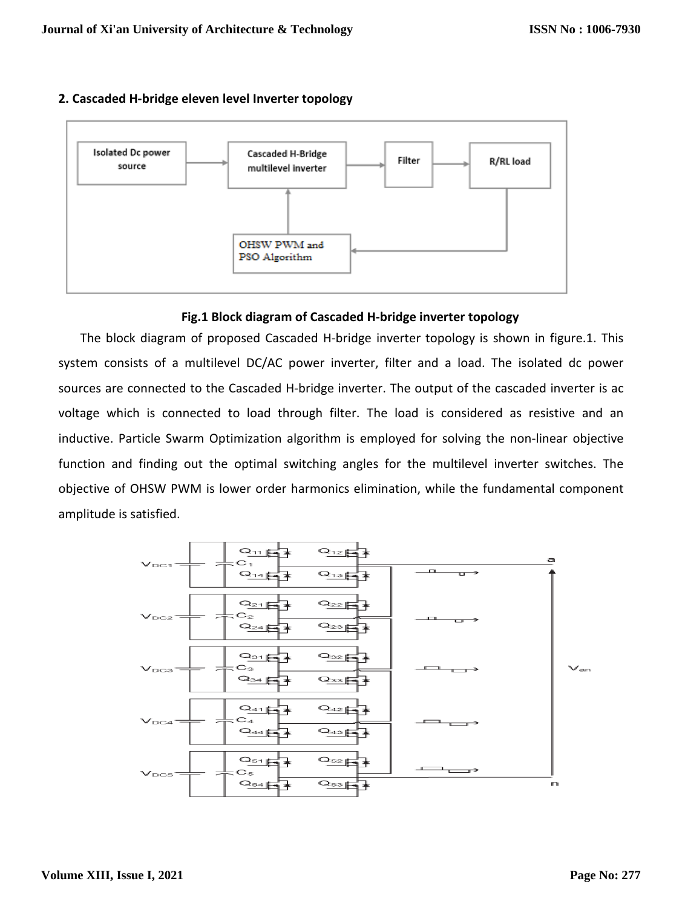



#### **Fig.1 Block diagram of Cascaded H-bridge inverter topology**

 The block diagram of proposed Cascaded H-bridge inverter topology is shown in figure.1. This system consists of a multilevel DC/AC power inverter, filter and a load. The isolated dc power sources are connected to the Cascaded H-bridge inverter. The output of the cascaded inverter is ac voltage which is connected to load through filter. The load is considered as resistive and an inductive. Particle Swarm Optimization algorithm is employed for solving the non-linear objective function and finding out the optimal switching angles for the multilevel inverter switches. The objective of OHSW PWM is lower order harmonics elimination, while the fundamental component amplitude is satisfied.

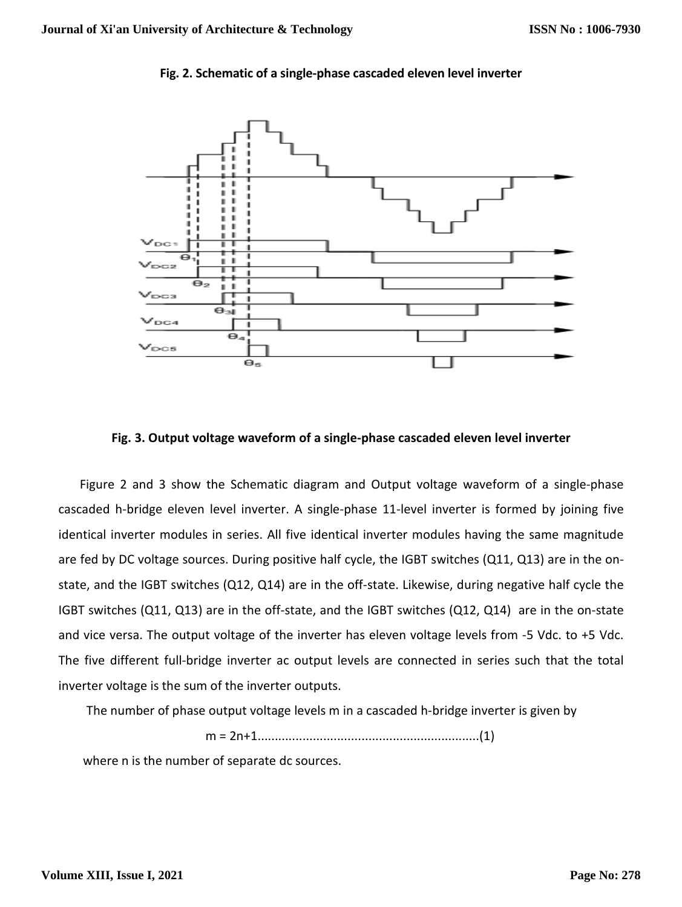

#### **Fig. 2. Schematic of a single-phase cascaded eleven level inverter**

#### **Fig. 3. Output voltage waveform of a single-phase cascaded eleven level inverter**

 Figure 2 and 3 show the Schematic diagram and Output voltage waveform of a single-phase cascaded h-bridge eleven level inverter. A single-phase 11-level inverter is formed by joining five identical inverter modules in series. All five identical inverter modules having the same magnitude are fed by DC voltage sources. During positive half cycle, the IGBT switches (Q11, Q13) are in the onstate, and the IGBT switches (Q12, Q14) are in the off-state. Likewise, during negative half cycle the IGBT switches (Q11, Q13) are in the off-state, and the IGBT switches (Q12, Q14) are in the on-state and vice versa. The output voltage of the inverter has eleven voltage levels from -5 Vdc. to +5 Vdc. The five different full-bridge inverter ac output levels are connected in series such that the total inverter voltage is the sum of the inverter outputs.

The number of phase output voltage levels m in a cascaded h-bridge inverter is given by

$$
m = 2n+1
$$

where n is the number of separate dc sources.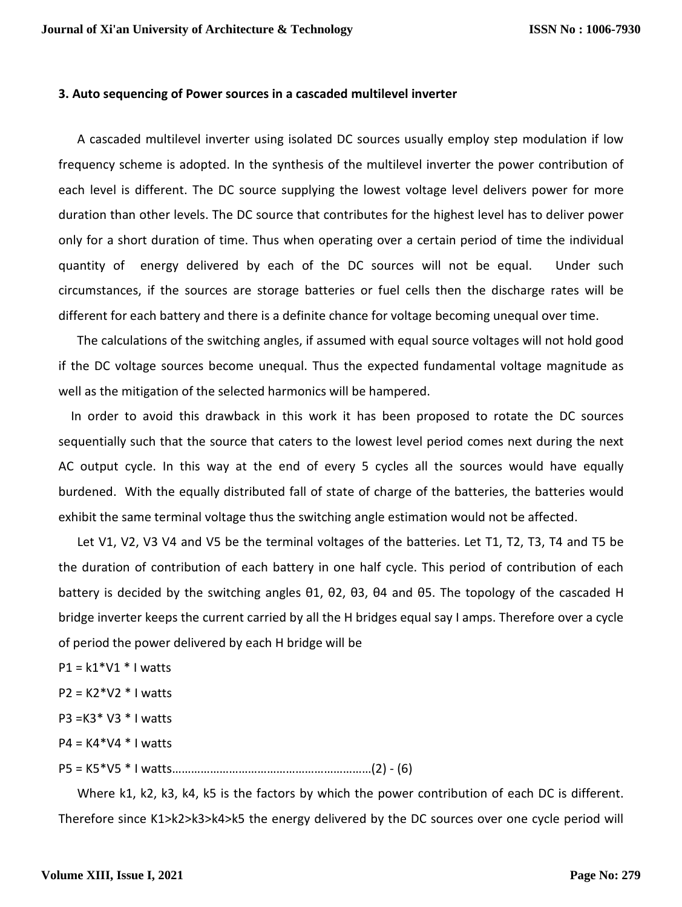#### **3. Auto sequencing of Power sources in a cascaded multilevel inverter**

 A cascaded multilevel inverter using isolated DC sources usually employ step modulation if low frequency scheme is adopted. In the synthesis of the multilevel inverter the power contribution of each level is different. The DC source supplying the lowest voltage level delivers power for more duration than other levels. The DC source that contributes for the highest level has to deliver power only for a short duration of time. Thus when operating over a certain period of time the individual quantity of energy delivered by each of the DC sources will not be equal. Under such circumstances, if the sources are storage batteries or fuel cells then the discharge rates will be different for each battery and there is a definite chance for voltage becoming unequal over time.

 The calculations of the switching angles, if assumed with equal source voltages will not hold good if the DC voltage sources become unequal. Thus the expected fundamental voltage magnitude as well as the mitigation of the selected harmonics will be hampered.

 In order to avoid this drawback in this work it has been proposed to rotate the DC sources sequentially such that the source that caters to the lowest level period comes next during the next AC output cycle. In this way at the end of every 5 cycles all the sources would have equally burdened. With the equally distributed fall of state of charge of the batteries, the batteries would exhibit the same terminal voltage thus the switching angle estimation would not be affected.

 Let V1, V2, V3 V4 and V5 be the terminal voltages of the batteries. Let T1, T2, T3, T4 and T5 be the duration of contribution of each battery in one half cycle. This period of contribution of each battery is decided by the switching angles θ1, θ2, θ3, θ4 and θ5. The topology of the cascaded H bridge inverter keeps the current carried by all the H bridges equal say I amps. Therefore over a cycle of period the power delivered by each H bridge will be

 $P1 = k1*V1*I$  watts

 $P2 = K2*V2*I$  watts

P3 =K3\* V3 \* I watts

 $P4 = K4*V4*I$  watts

P5 = K5\*V5 \* I watts………………………………………………………(2) - (6)

 Where k1, k2, k3, k4, k5 is the factors by which the power contribution of each DC is different. Therefore since K1>k2>k3>k4>k5 the energy delivered by the DC sources over one cycle period will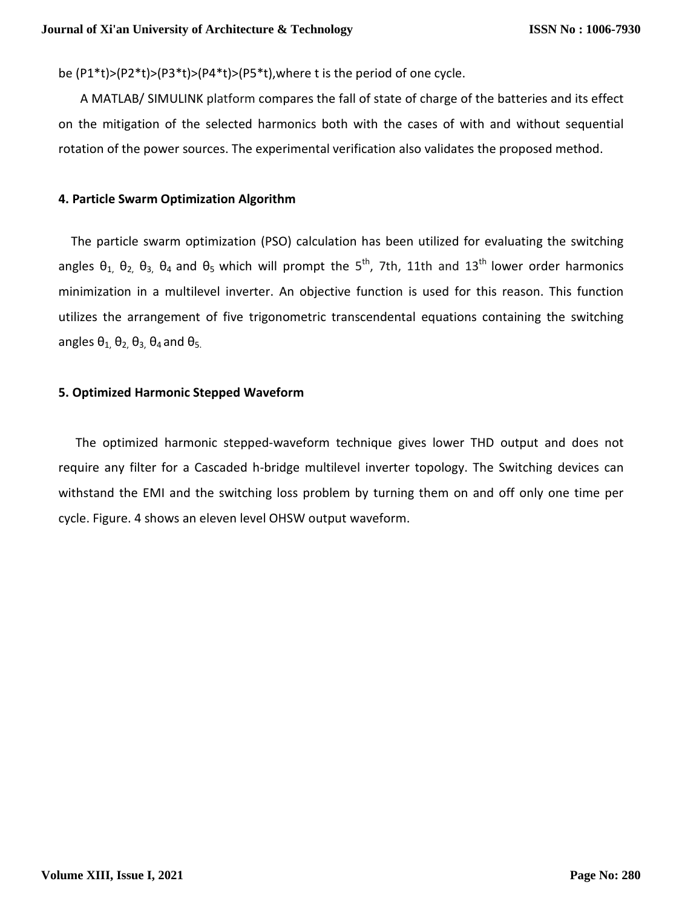be (P1\*t)>(P2\*t)>(P3\*t)>(P4\*t)>(P5\*t),where t is the period of one cycle.

 A MATLAB/ SIMULINK platform compares the fall of state of charge of the batteries and its effect on the mitigation of the selected harmonics both with the cases of with and without sequential rotation of the power sources. The experimental verification also validates the proposed method.

#### **4. Particle Swarm Optimization Algorithm**

 The particle swarm optimization (PSO) calculation has been utilized for evaluating the switching angles  $\theta_1$ ,  $\theta_2$ ,  $\theta_3$ ,  $\theta_4$  and  $\theta_5$  which will prompt the  $5^{\text{th}}$ , 7th, 11th and 13<sup>th</sup> lower order harmonics minimization in a multilevel inverter. An objective function is used for this reason. This function utilizes the arrangement of five trigonometric transcendental equations containing the switching angles  $\theta_1$ ,  $\theta_2$ ,  $\theta_3$ ,  $\theta_4$  and  $\theta_5$ .

#### **5. Optimized Harmonic Stepped Waveform**

 The optimized harmonic stepped-waveform technique gives lower THD output and does not require any filter for a Cascaded h-bridge multilevel inverter topology. The Switching devices can withstand the EMI and the switching loss problem by turning them on and off only one time per cycle. Figure. 4 shows an eleven level OHSW output waveform.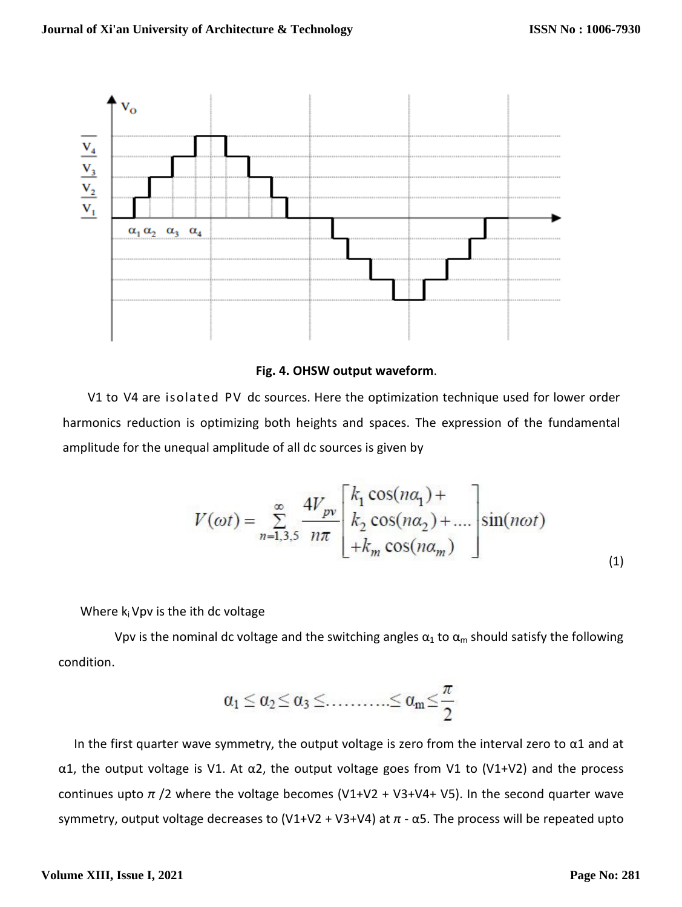

#### **Fig. 4. OHSW output waveform**.

 V1 to V4 are isolated PV dc sources. Here the optimization technique used for lower order harmonics reduction is optimizing both heights and spaces. The expression of the fundamental amplitude for the unequal amplitude of all dc sources is given by

$$
V(\omega t) = \sum_{n=1,3,5}^{\infty} \frac{4V_{pv}}{n\pi} \begin{bmatrix} k_1 \cos(n\alpha_1) + \\ k_2 \cos(n\alpha_2) + \dots \\ +k_m \cos(n\alpha_m) \end{bmatrix} \sin(n\omega t)
$$
(1)

Where  $k_i$  Vpv is the ith dc voltage

Vpv is the nominal dc voltage and the switching angles  $\alpha_1$  to  $\alpha_m$  should satisfy the following condition.

$$
\alpha_1\leq\alpha_2\!\leq\!\alpha_3\!\leq\!{\dots\!\dots\!\dots\!\leq\alpha_m\!\leq\!\frac{\pi}{2}}
$$

In the first quarter wave symmetry, the output voltage is zero from the interval zero to  $\alpha$ 1 and at α1, the output voltage is V1. At α2, the output voltage goes from V1 to (V1+V2) and the process continues upto *π* /2 where the voltage becomes (V1+V2 + V3+V4+ V5). In the second quarter wave symmetry, output voltage decreases to (V1+V2 + V3+V4) at *π* - α5. The process will be repeated upto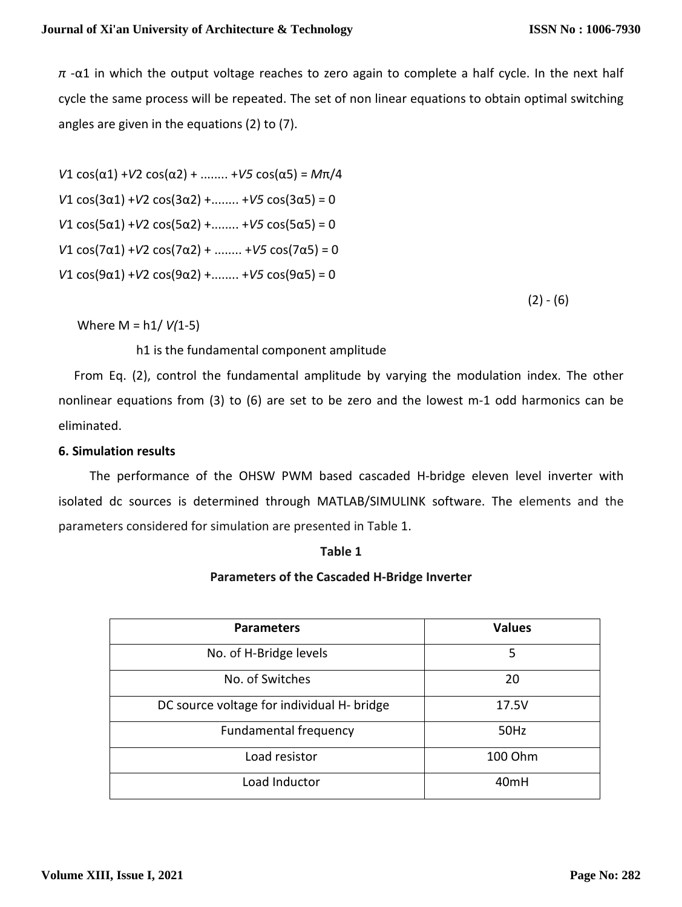*π* -α1 in which the output voltage reaches to zero again to complete a half cycle. In the next half cycle the same process will be repeated. The set of non linear equations to obtain optimal switching angles are given in the equations (2) to (7).

*V*1 cos(α1) +*V*2 cos(α2) + ........ +*V5* cos(α5) = *M*π/4 *V*1 cos(3α1) +*V*2 cos(3α2) +........ +*V5* cos(3α5) = 0 *V*1 cos(5α1) +*V*2 cos(5α2) +........ +*V5* cos(5α5) = 0 *V*1 cos(7α1) +*V*2 cos(7α2) + ........ +*V5* cos(7α5) = 0 *V*1 cos(9α1) +*V*2 cos(9α2) +........ +*V5* cos(9α5) = 0

 $(2) - (6)$ 

Where M = h1/ *V(*1-5)

h1 is the fundamental component amplitude

 From Eq. (2), control the fundamental amplitude by varying the modulation index. The other nonlinear equations from (3) to (6) are set to be zero and the lowest m-1 odd harmonics can be eliminated.

#### **6. Simulation results**

 The performance of the OHSW PWM based cascaded H-bridge eleven level inverter with isolated dc sources is determined through MATLAB/SIMULINK software. The elements and the parameters considered for simulation are presented in Table 1.

#### **Table 1**

#### **Parameters of the Cascaded H-Bridge Inverter**

| <b>Parameters</b>                          | <b>Values</b>    |
|--------------------------------------------|------------------|
| No. of H-Bridge levels                     | 5                |
| No. of Switches                            | 20               |
| DC source voltage for individual H- bridge | 17.5V            |
| <b>Fundamental frequency</b>               | 50Hz             |
| Load resistor                              | 100 Ohm          |
| Load Inductor                              | 40 <sub>mH</sub> |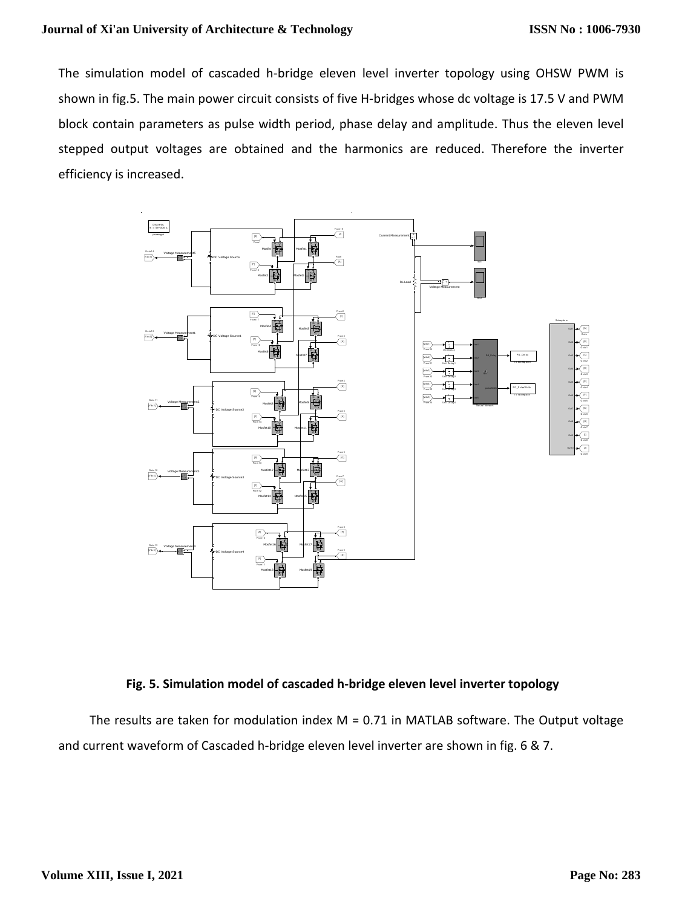The simulation model of cascaded h-bridge eleven level inverter topology using OHSW PWM is shown in fig.5. The main power circuit consists of five H-bridges whose dc voltage is 17.5 V and PWM block contain parameters as pulse width period, phase delay and amplitude. Thus the eleven level stepped output voltages are obtained and the harmonics are reduced. Therefore the inverter efficiency is increased.



#### **Fig. 5. Simulation model of cascaded h-bridge eleven level inverter topology**

The results are taken for modulation index  $M = 0.71$  in MATLAB software. The Output voltage and current waveform of Cascaded h-bridge eleven level inverter are shown in fig. 6 & 7.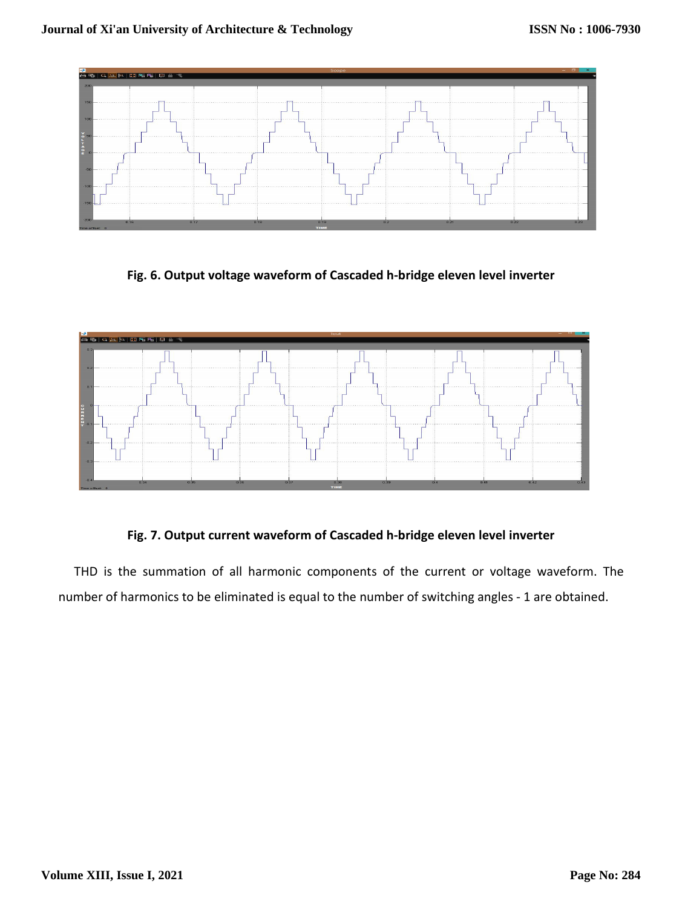

**Fig. 6. Output voltage waveform of Cascaded h-bridge eleven level inverter** 



**Fig. 7. Output current waveform of Cascaded h-bridge eleven level inverter** 

 THD is the summation of all harmonic components of the current or voltage waveform. The number of harmonics to be eliminated is equal to the number of switching angles - 1 are obtained.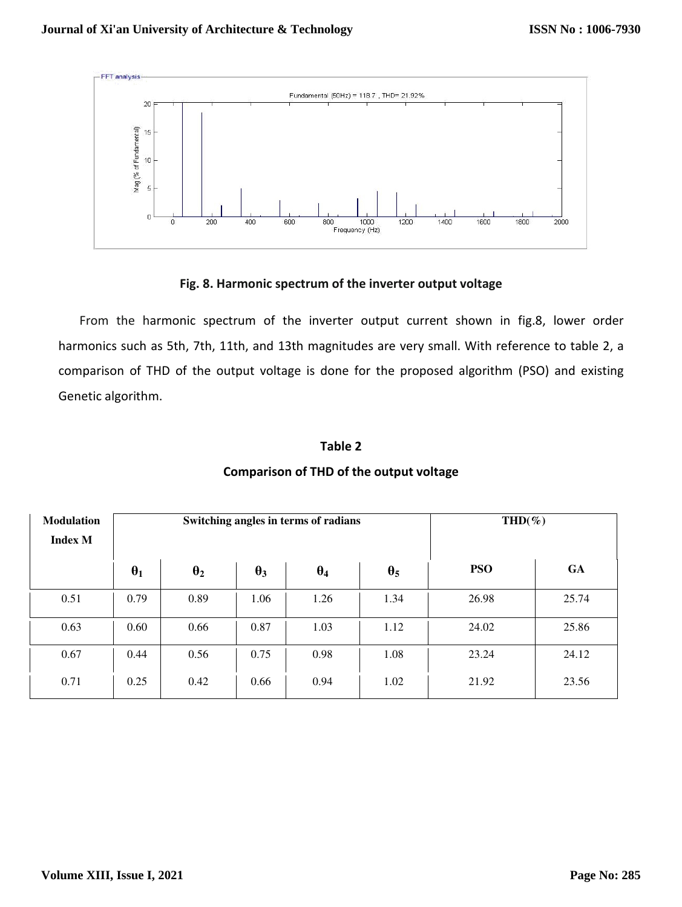

#### **Fig. 8. Harmonic spectrum of the inverter output voltage**

 From the harmonic spectrum of the inverter output current shown in fig.8, lower order harmonics such as 5th, 7th, 11th, and 13th magnitudes are very small. With reference to table 2, a comparison of THD of the output voltage is done for the proposed algorithm (PSO) and existing Genetic algorithm.

#### **Table 2**

# **Modulation Index M**  Switching angles in terms of radians **THD**(%)  $\theta_1$  **d**  $\theta_2$  **e**  $\theta_3$  **d**  $\theta_4$  **e**  $\theta_5$  **c PSO GA** 0.51 | 0.79 | 0.89 | 1.06 | 1.26 | 1.34 | 26.98 | 25.74  $0.63$   $0.60$   $0.66$   $0.87$   $1.03$   $1.12$   $24.02$   $25.86$  $0.67$   $0.44$   $0.56$   $0.75$   $0.98$   $1.08$   $23.24$   $24.12$  $0.71 \t\t 0.25 \t 0.42 \t 0.66 \t 0.94 \t 1.02 \t 21.92 \t 23.56$

### **Comparison of THD of the output voltage**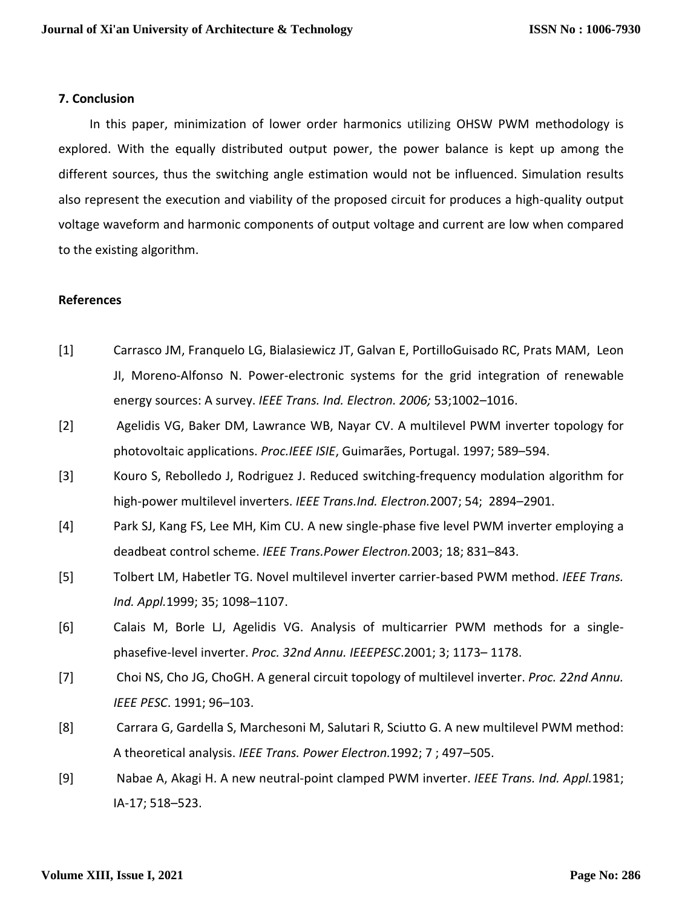#### **7. Conclusion**

 In this paper, minimization of lower order harmonics utilizing OHSW PWM methodology is explored. With the equally distributed output power, the power balance is kept up among the different sources, thus the switching angle estimation would not be influenced. Simulation results also represent the execution and viability of the proposed circuit for produces a high-quality output voltage waveform and harmonic components of output voltage and current are low when compared to the existing algorithm.

#### **References**

- [1] Carrasco JM, Franquelo LG, Bialasiewicz JT, Galvan E, PortilloGuisado RC, Prats MAM, Leon JI, Moreno-Alfonso N. Power-electronic systems for the grid integration of renewable energy sources: A survey. *IEEE Trans. Ind. Electron. 2006;* 53;1002–1016.
- [2] Agelidis VG, Baker DM, Lawrance WB, Nayar CV. A multilevel PWM inverter topology for photovoltaic applications. *Proc.IEEE ISIE*, Guimarães, Portugal. 1997; 589–594.
- [3] Kouro S, Rebolledo J, Rodriguez J. Reduced switching-frequency modulation algorithm for high-power multilevel inverters. *IEEE Trans.Ind. Electron.*2007; 54; 2894–2901.
- [4] Park SJ, Kang FS, Lee MH, Kim CU. A new single-phase five level PWM inverter employing a deadbeat control scheme. *IEEE Trans.Power Electron.*2003; 18; 831–843.
- [5] Tolbert LM, Habetler TG. Novel multilevel inverter carrier-based PWM method. *IEEE Trans. Ind. Appl.*1999; 35; 1098–1107.
- [6] Calais M, Borle LJ, Agelidis VG. Analysis of multicarrier PWM methods for a singlephasefive-level inverter. *Proc. 32nd Annu. IEEEPESC*.2001; 3; 1173– 1178.
- [7] Choi NS, Cho JG, ChoGH. A general circuit topology of multilevel inverter. *Proc. 22nd Annu. IEEE PESC*. 1991; 96–103.
- [8] Carrara G, Gardella S, Marchesoni M, Salutari R, Sciutto G. A new multilevel PWM method: A theoretical analysis. *IEEE Trans. Power Electron.*1992; 7 ; 497–505.
- [9] Nabae A, Akagi H. A new neutral-point clamped PWM inverter. *IEEE Trans. Ind. Appl.*1981; IA-17; 518–523.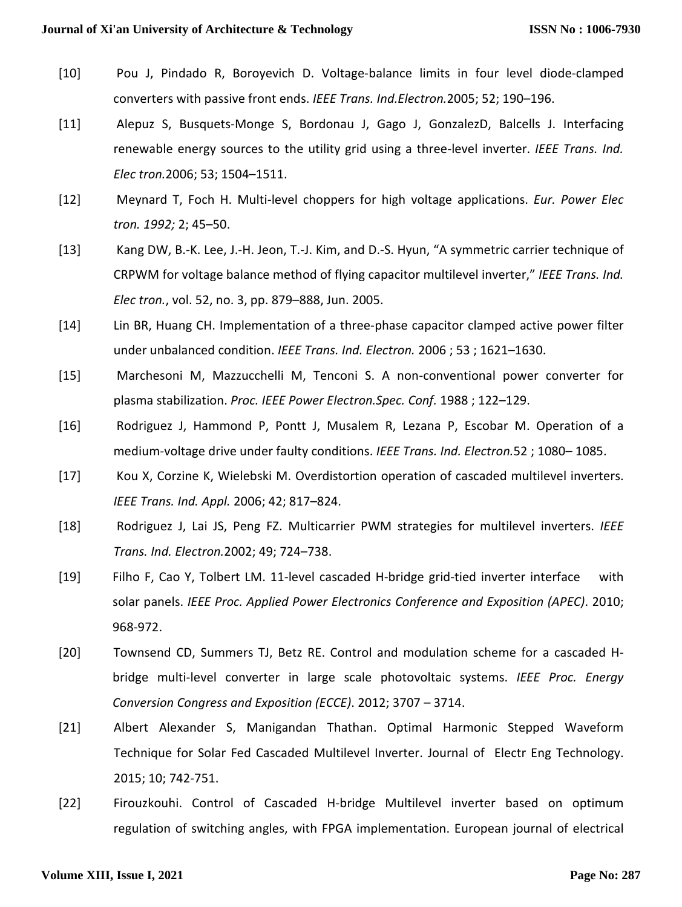- [10] Pou J, Pindado R, Boroyevich D. Voltage-balance limits in four level diode-clamped converters with passive front ends. *IEEE Trans. Ind.Electron.*2005; 52; 190–196.
- [11] Alepuz S, Busquets-Monge S, Bordonau J, Gago J, GonzalezD, Balcells J. Interfacing renewable energy sources to the utility grid using a three-level inverter. *IEEE Trans. Ind. Elec tron.*2006; 53; 1504–1511.
- [12] Meynard T, Foch H. Multi-level choppers for high voltage applications. *Eur. Power Elec tron. 1992;* 2; 45–50.
- [13] Kang DW, B.-K. Lee, J.-H. Jeon, T.-J. Kim, and D.-S. Hyun, "A symmetric carrier technique of CRPWM for voltage balance method of flying capacitor multilevel inverter," *IEEE Trans. Ind. Elec tron.*, vol. 52, no. 3, pp. 879–888, Jun. 2005.
- [14] Lin BR, Huang CH. Implementation of a three-phase capacitor clamped active power filter under unbalanced condition. *IEEE Trans. Ind. Electron.* 2006 ; 53 ; 1621–1630.
- [15] Marchesoni M, Mazzucchelli M, Tenconi S. A non-conventional power converter for plasma stabilization. *Proc. IEEE Power Electron.Spec. Conf.* 1988 ; 122–129.
- [16] Rodriguez J, Hammond P, Pontt J, Musalem R, Lezana P, Escobar M. Operation of a medium-voltage drive under faulty conditions. *IEEE Trans. Ind. Electron.*52 ; 1080– 1085.
- [17] Kou X, Corzine K, Wielebski M. Overdistortion operation of cascaded multilevel inverters. *IEEE Trans. Ind. Appl.* 2006; 42; 817–824.
- [18] Rodriguez J, Lai JS, Peng FZ. Multicarrier PWM strategies for multilevel inverters. *IEEE Trans. Ind. Electron.*2002; 49; 724–738.
- [19] Filho F, Cao Y, Tolbert LM. 11-level cascaded H-bridge grid-tied inverter interface with solar panels. *IEEE Proc. Applied Power Electronics Conference and Exposition (APEC)*. 2010; 968-972.
- [20] Townsend CD, Summers TJ, Betz RE. Control and modulation scheme for a cascaded Hbridge multi-level converter in large scale photovoltaic systems. *IEEE Proc. Energy Conversion Congress and Exposition (ECCE)*. 2012; 3707 – 3714.
- [21] Albert Alexander S, Manigandan Thathan. Optimal Harmonic Stepped Waveform Technique for Solar Fed Cascaded Multilevel Inverter. Journal of Electr Eng Technology. 2015; 10; 742-751.
- [22] Firouzkouhi. Control of Cascaded H-bridge Multilevel inverter based on optimum regulation of switching angles, with FPGA implementation. European journal of electrical